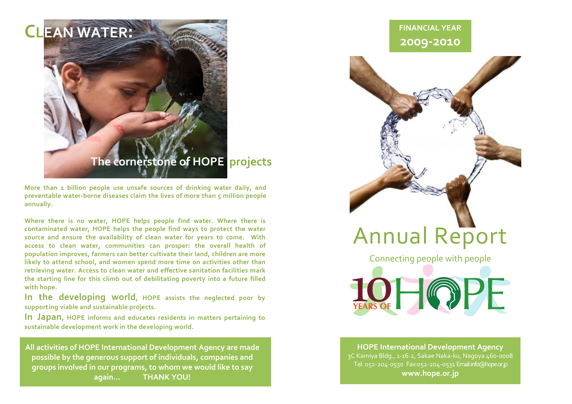

More than 1 billion people use unsafe sources of drinking water daily, and preventable water-borne diseases claim the lives of more than 5 million people annually.

Where there is no water, HOPE helps people find water. Where there is contaminated water, HOPE helps the people find ways to protect the water source and ensure the availability of clean water for years to come. With access to clean water, communities can prosper: the overall health of population improves, farmers can better cultivate their land, children are more likely to attend school, and women spend more time on activities other than retrieving water. Access to clean water and effective sanitation facilities mark the starting line for this climb out of debilitating poverty into a future filled with hope.

In the developing world, HOPE assists the neglected poor by supporting viable and sustainable projects.

In Japan, HOPE informs and educates residents in matters pertaining to sustainable development work in the developing world.

All activities of HOPE International Development Agency are made possible by the generous support of individuals, companies and groups involved in our programs, to whom we would like to say again…THANK YOU!

## FINANCIAL YEAR2009-2010



# Annual Report

Connecting people with people

LOHOPE

HOPE International Development Agency 3C Kamiya Bldg., 1-16-2, Sakae Naka-ku, Nagoya 460-0008 Tel: 052-204-0530 Fax:052-204-0531 Email: info@hope.or.jpwww.hope.or.jp